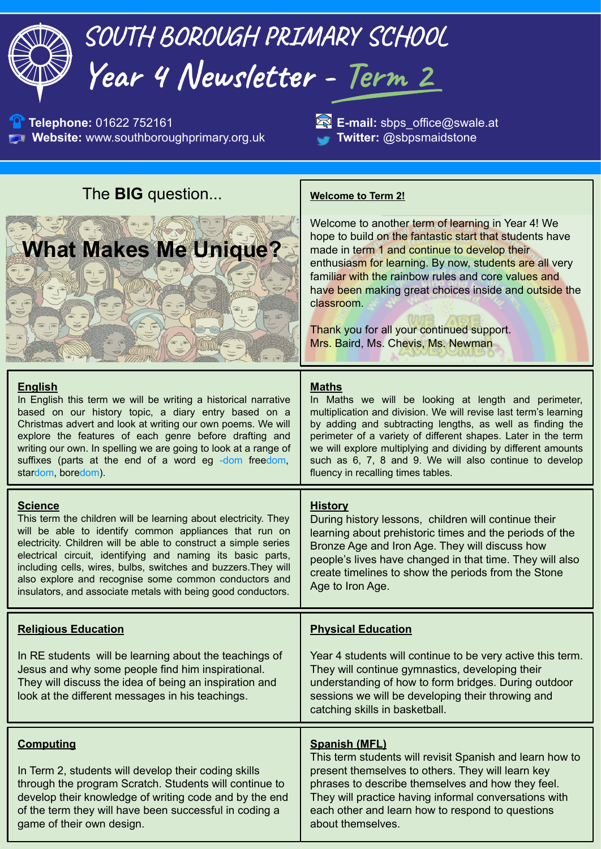| SOUTH BOROUGH PRIMARY SCHOOL<br>Year 4 Newsletter - Term 2                                                                                                                                                                                                                                                                                                                                                                                                               |                                                                                                                                                                                                                                                                                                                                                                                                                                          |
|--------------------------------------------------------------------------------------------------------------------------------------------------------------------------------------------------------------------------------------------------------------------------------------------------------------------------------------------------------------------------------------------------------------------------------------------------------------------------|------------------------------------------------------------------------------------------------------------------------------------------------------------------------------------------------------------------------------------------------------------------------------------------------------------------------------------------------------------------------------------------------------------------------------------------|
| Telephone: 01622 752161<br>Website: www.southboroughprimary.org.uk                                                                                                                                                                                                                                                                                                                                                                                                       | E-mail: sbps_office@swale.at<br>Twitter: @sbpsmaidstone                                                                                                                                                                                                                                                                                                                                                                                  |
| The <b>BIG</b> question                                                                                                                                                                                                                                                                                                                                                                                                                                                  | <b>Welcome to Term 2!</b>                                                                                                                                                                                                                                                                                                                                                                                                                |
| <b>What Makes Me Unique?</b>                                                                                                                                                                                                                                                                                                                                                                                                                                             | Welcome to another term of learning in Year 4! We<br>hope to build on the fantastic start that students have<br>made in term 1 and continue to develop their<br>enthusiasm for learning. By now, students are all very<br>familiar with the rainbow rules and core values and<br>have been making great choices inside and outside the<br>classroom.<br>Thank you for all your continued support.<br>Mrs. Baird, Ms. Chevis, Ms. Newman  |
| <b>English</b><br>In English this term we will be writing a historical narrative<br>based on our history topic, a diary entry based on a<br>Christmas advert and look at writing our own poems. We will<br>explore the features of each genre before drafting and<br>writing our own. In spelling we are going to look at a range of<br>suffixes (parts at the end of a word eg -dom freedom,<br>stardom, boredom).                                                      | <b>Maths</b><br>In Maths we will be looking at length and perimeter,<br>multiplication and division. We will revise last term's learning<br>by adding and subtracting lengths, as well as finding the<br>perimeter of a variety of different shapes. Later in the term<br>we will explore multiplying and dividing by different amounts<br>such as 6, 7, 8 and 9. We will also continue to develop<br>fluency in recalling times tables. |
| <b>Science</b><br>This term the children will be learning about electricity. They<br>will be able to identify common appliances that run on<br>electricity. Children will be able to construct a simple series<br>electrical circuit, identifying and naming its basic parts,<br>including cells, wires, bulbs, switches and buzzers. They will<br>also explore and recognise some common conductors and<br>insulators, and associate metals with being good conductors. | <b>History</b><br>During history lessons, children will continue their<br>learning about prehistoric times and the periods of the<br>Bronze Age and Iron Age. They will discuss how<br>people's lives have changed in that time. They will also<br>create timelines to show the periods from the Stone<br>Age to Iron Age.                                                                                                               |
| <b>Religious Education</b>                                                                                                                                                                                                                                                                                                                                                                                                                                               | <b>Physical Education</b>                                                                                                                                                                                                                                                                                                                                                                                                                |
| In RE students will be learning about the teachings of<br>Jesus and why some people find him inspirational.<br>They will discuss the idea of being an inspiration and<br>look at the different messages in his teachings.                                                                                                                                                                                                                                                | Year 4 students will continue to be very active this term.<br>They will continue gymnastics, developing their<br>understanding of how to form bridges. During outdoor<br>sessions we will be developing their throwing and<br>catching skills in basketball.                                                                                                                                                                             |
| <b>Computing</b><br>In Term 2, students will develop their coding skills<br>through the program Scratch. Students will continue to<br>develop their knowledge of writing code and by the end<br>of the term they will have been successful in coding a<br>game of their own design.                                                                                                                                                                                      | <b>Spanish (MFL)</b><br>This term students will revisit Spanish and learn how to<br>present themselves to others. They will learn key<br>phrases to describe themselves and how they feel.<br>They will practice having informal conversations with<br>each other and learn how to respond to questions<br>about themselves.                                                                                                             |